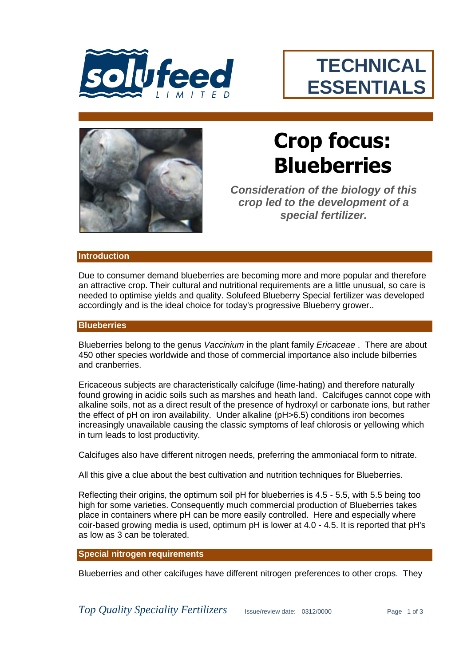

# **TECHNICAL ESSENTIALS**



# **Crop focus: Blueberries**

**Consideration of the biology of this** *crop led to the development of a special fertilizer.*

#### **Introduction**

Due to consumer demand blueberries are becoming more and more popular and therefore an attractive crop. Their cultural and nutritional requirements are a little unusual, so care is needed to optimise yields and quality. Solufeed Blueberry Special fertilizer was developed accordingly and is the ideal choice for today's progressive Blueberry grower..

#### **Blueberries**

Blueberries belong to the genus *Vaccinium* in the plant family *Ericaceae* . There are about 450 other species worldwide and those of commercial importance also include bilberries and cranberries.

Ericaceous subjects are characteristically calcifuge (lime-hating) and therefore naturally found growing in acidic soils such as marshes and heath land. Calcifuges cannot cope with alkaline soils, not as a direct result of the presence of hydroxyl or carbonate ions, but rather the effect of pH on iron availability. Under alkaline (pH>6.5) conditions iron becomes increasingly unavailable causing the classic symptoms of leaf chlorosis or yellowing which in turn leads to lost productivity.

Calcifuges also have different nitrogen needs, preferring the ammoniacal form to nitrate.

All this give a clue about the best cultivation and nutrition techniques for Blueberries.

Reflecting their origins, the optimum soil pH for blueberries is 4.5 - 5.5, with 5.5 being too high for some varieties. Consequently much commercial production of Blueberries takes place in containers where pH can be more easily controlled. Here and especially where coir-based growing media is used, optimum pH is lower at 4.0 - 4.5. It is reported that pH's as low as 3 can be tolerated.

#### **Special nitrogen requirements**

Blueberries and other calcifuges have different nitrogen preferences to other crops. They

*Top Quality Speciality Fertilizers* Issue/review date: 0312/0000 Page 1 of 3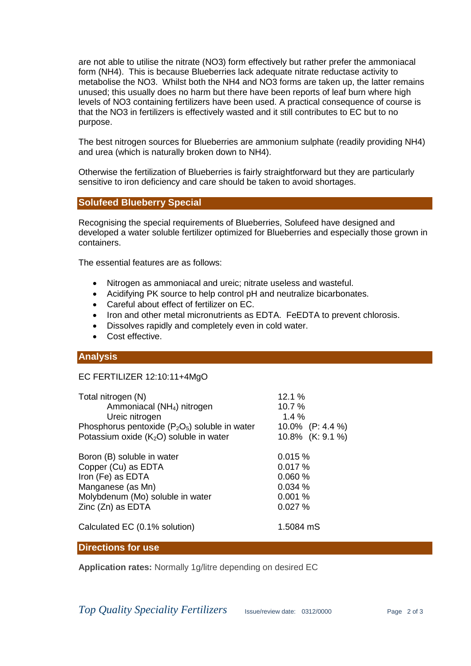are not able to utilise the nitrate (NO3) form effectively but rather prefer the ammoniacal form (NH4). This is because Blueberries lack adequate nitrate reductase activity to metabolise the NO3. Whilst both the NH4 and NO3 forms are taken up, the latter remains unused; this usually does no harm but there have been reports of leaf burn where high levels of NO3 containing fertilizers have been used. A practical consequence of course is that the NO3 in fertilizers is effectively wasted and it still contributes to EC but to no purpose.

The best nitrogen sources for Blueberries are ammonium sulphate (readily providing NH4) and urea (which is naturally broken down to NH4).

Otherwise the fertilization of Blueberries is fairly straightforward but they are particularly sensitive to iron deficiency and care should be taken to avoid shortages.

# **Solufeed Blueberry Special**

Recognising the special requirements of Blueberries, Solufeed have designed and developed a water soluble fertilizer optimized for Blueberries and especially those grown in containers.

The essential features are as follows:

- Nitrogen as ammoniacal and ureic; nitrate useless and wasteful.
- Acidifying PK source to help control pH and neutralize bicarbonates.
- Careful about effect of fertilizer on EC.
- Iron and other metal micronutrients as EDTA. FeEDTA to prevent chlorosis.
- Dissolves rapidly and completely even in cold water.
- Cost effective.

# **Analysis**

# EC FERTILIZER 12:10:11+4MgO

| Total nitrogen (N)                                 | 12.1%            |
|----------------------------------------------------|------------------|
| Ammoniacal (NH <sub>4</sub> ) nitrogen             | 10.7%            |
| Ureic nitrogen                                     | 1.4%             |
| Phosphorus pentoxide ( $P_2O_5$ ) soluble in water | 10.0% (P: 4.4 %) |
| Potassium oxide $(K_2O)$ soluble in water          | 10.8% (K: 9.1 %) |
| Boron (B) soluble in water                         | 0.015%           |
| Copper (Cu) as EDTA                                | 0.017%           |
| Iron (Fe) as EDTA                                  | 0.060%           |
| Manganese (as Mn)                                  | 0.034%           |
| Molybdenum (Mo) soluble in water                   | 0.001%           |
| Zinc (Zn) as EDTA                                  | 0.027%           |
| Calculated EC (0.1% solution)                      | 1.5084 mS        |

# **Directions for use**

**Application rates:** Normally 1g/litre depending on desired EC

*Top Quality Speciality Fertilizers*